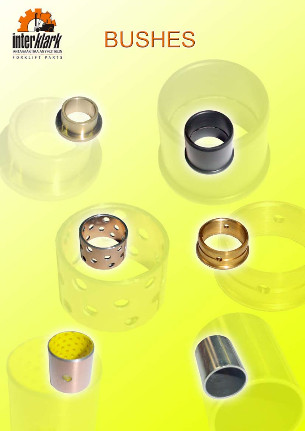

# **BUSHES**

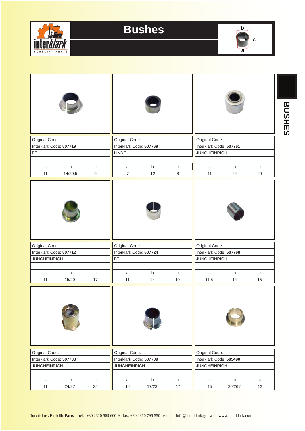



| Original Code:          |                         |                    | Original Code:          |                                                |           | Original Code:          |                                                |                 |  |  |
|-------------------------|-------------------------|--------------------|-------------------------|------------------------------------------------|-----------|-------------------------|------------------------------------------------|-----------------|--|--|
| Interklark Code: 507719 |                         |                    | Interklark Code: 507769 |                                                |           | Interklark Code: 507761 |                                                |                 |  |  |
| BT                      |                         |                    | LINDE                   |                                                |           | <b>JUNGHEINRICH</b>     |                                                |                 |  |  |
|                         |                         |                    |                         |                                                |           |                         |                                                |                 |  |  |
| a                       | $\sf b$                 | $\mathbf C$        | $\mathsf{a}$            | $\mathsf b$                                    | ${\tt C}$ | a                       | $\mathsf b$                                    | ${\bf C}$       |  |  |
| 11                      | 14/20,5                 | 9                  | $\overline{7}$          | 12                                             | $\,8\,$   | 11                      | 24                                             | 20              |  |  |
|                         |                         |                    |                         |                                                |           |                         |                                                |                 |  |  |
| Original Code:          |                         |                    | Original Code:          |                                                |           | Original Code:          |                                                |                 |  |  |
| Interklark Code: 507712 |                         |                    | Interklark Code: 507724 |                                                |           | Interklark Code: 507768 |                                                |                 |  |  |
| <b>JUNGHEINRICH</b>     |                         |                    | <b>BT</b>               |                                                |           | <b>JUNGHEINRICH</b>     |                                                |                 |  |  |
|                         |                         |                    |                         |                                                |           |                         |                                                |                 |  |  |
| a<br>11                 | $\mathsf b$<br>15/20    | $\mathtt{C}$<br>17 | $\mathsf a$<br>11       | $\sf b$<br>14                                  | С<br>10   | a<br>11,5               | $\mathsf b$<br>14                              | ${\bf C}$<br>15 |  |  |
|                         |                         |                    |                         |                                                |           |                         |                                                |                 |  |  |
| Original Code:          |                         |                    | Original Code:          |                                                |           | Original Code:          |                                                |                 |  |  |
| <b>JUNGHEINRICH</b>     | Interklark Code: 507738 |                    |                         | Interklark Code: 507709<br><b>JUNGHEINRICH</b> |           |                         | Interklark Code: 505490<br><b>JUNGHEINRICH</b> |                 |  |  |
|                         |                         |                    |                         |                                                |           |                         |                                                |                 |  |  |
| a                       | $\mathsf b$             | ${\bf C}$          | $\mathsf{a}$            | $\mathsf b$                                    | ${\bf C}$ | $\mathsf{a}$            | $\mathsf b$                                    | $\mathtt{C}$    |  |  |
| 11                      | 24/27                   | 35                 | 14                      | 17/23                                          | 17        | 15                      | 20/26,5                                        | 12              |  |  |

**BUSHES BUSHES**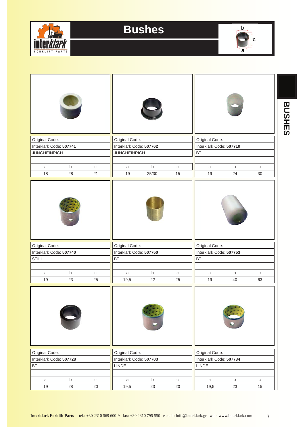



| Original Code:          |               |                 | Original Code:          |                   |                 | Original Code:          |                   |                    |  |
|-------------------------|---------------|-----------------|-------------------------|-------------------|-----------------|-------------------------|-------------------|--------------------|--|
| Interklark Code: 507741 |               |                 | Interklark Code: 507762 |                   |                 | Interklark Code: 507710 |                   |                    |  |
| <b>JUNGHEINRICH</b>     |               |                 | <b>JUNGHEINRICH</b>     |                   |                 | BT                      |                   |                    |  |
|                         |               |                 |                         |                   |                 |                         |                   |                    |  |
| a                       | $\sf b$       | ${\bf C}$       | a                       | $\mathsf b$       | ${\bf C}$       | a                       | $\mathsf b$       | ${\tt C}$          |  |
| 18                      | 28            | 21              | 19                      | 25/30             | 15              | 19                      | 24                | $30\,$             |  |
|                         |               |                 |                         |                   |                 |                         |                   |                    |  |
| Original Code:          |               |                 | Original Code:          |                   |                 | Original Code:          |                   |                    |  |
| Interklark Code: 507740 |               |                 | Interklark Code: 507750 |                   |                 | Interklark Code: 507753 |                   |                    |  |
| <b>STILL</b>            |               |                 | <b>BT</b>               |                   |                 | <b>BT</b>               |                   |                    |  |
|                         |               |                 |                         |                   |                 |                         |                   |                    |  |
| a<br>19                 | $\sf b$<br>23 | ${\bf C}$<br>25 | a<br>19,5               | $\mathsf b$<br>22 | ${\bf C}$<br>25 | a<br>19                 | $\mathsf b$<br>40 | $\mathtt{C}$<br>63 |  |
|                         |               |                 |                         |                   |                 |                         |                   |                    |  |
|                         |               |                 |                         |                   |                 |                         |                   |                    |  |
| Original Code:          |               |                 | Original Code:          |                   |                 | Original Code:          |                   |                    |  |
| Interklark Code: 507728 |               |                 | Interklark Code: 507703 |                   |                 | Interklark Code: 507734 |                   |                    |  |
| <b>BT</b>               |               |                 | <b>LINDE</b>            |                   |                 | LINDE                   |                   |                    |  |
| a                       | $\sf b$       | ${\bf C}$       | $\mathsf{a}$            | $\sf b$           | ${\bf C}$       | $\mathsf a$             | $\mathsf b$       | ${\bf C}$          |  |
|                         | 28            | 20              | 19,5                    | 23                | 20              | 19,5                    | 23                | 15                 |  |

**BUSHES BUSHES**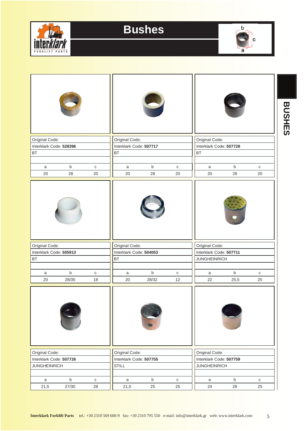



**BUSHES**

**BUSHES** 

| Original Code:          |             |           | Original Code:          |             |              | Original Code:          |             |           |  |
|-------------------------|-------------|-----------|-------------------------|-------------|--------------|-------------------------|-------------|-----------|--|
| Interklark Code: 528396 |             |           | Interklark Code: 507717 |             |              | Interklark Code: 507728 |             |           |  |
| <b>BT</b>               |             |           | <b>BT</b>               |             |              | <b>BT</b>               |             |           |  |
|                         |             |           |                         |             |              |                         |             |           |  |
| a                       | $\mathsf b$ | ${\bf C}$ | a                       | $\mathsf b$ | $\mathbf{C}$ | a                       | $\mathsf b$ | ${\tt C}$ |  |
| 20                      | 28          | 20        | 20                      | 28          | 20           | 20                      | 28          | 20        |  |
|                         |             |           |                         |             |              |                         |             |           |  |
| Original Code:          |             |           | Original Code:          |             |              | Original Code:          |             |           |  |
| Interklark Code: 505913 |             |           | Interklark Code: 504053 |             |              | Interklark Code: 507711 |             |           |  |
| <b>BT</b>               |             |           | <b>BT</b>               |             |              | <b>JUNGHEINRICH</b>     |             |           |  |
|                         |             |           |                         |             |              |                         |             |           |  |
| a                       | $\sf b$     | ${\bf C}$ | a                       | $\mathsf b$ | $\mathtt{C}$ | a                       | $\mathsf b$ | ${\tt C}$ |  |
| 20                      | 28/35       | 18        | 20                      | 28/32       | 12           | 22                      | 25,5        | 25        |  |
|                         |             |           |                         |             |              |                         |             |           |  |
| Original Code:          |             |           | Original Code:          |             |              | Original Code:          |             |           |  |
| Interklark Code: 507726 |             |           | Interklark Code: 507755 |             |              | Interklark Code: 507759 |             |           |  |
| <b>JUNGHEINRICH</b>     |             |           | <b>STILL</b>            |             |              | <b>JUNGHEINRICH</b>     |             |           |  |
|                         |             |           |                         |             |              |                         |             |           |  |
| $\mathsf a$             | $\sf b$     | ${\bf C}$ | $\mathsf{a}$            | $\mathsf b$ | ${\bf C}$    | a                       | $\mathsf b$ | ${\tt C}$ |  |
| 21,5                    | 27/30       | 28        | 21,5                    | 25          | 25           | 24                      | 28          | 25        |  |

**Interklark Forklift Parts** tel.: +30 2310 569 600-9 fax: +30 2310 795 550 e-mail: info@interklark.gr web: www.interklark.com